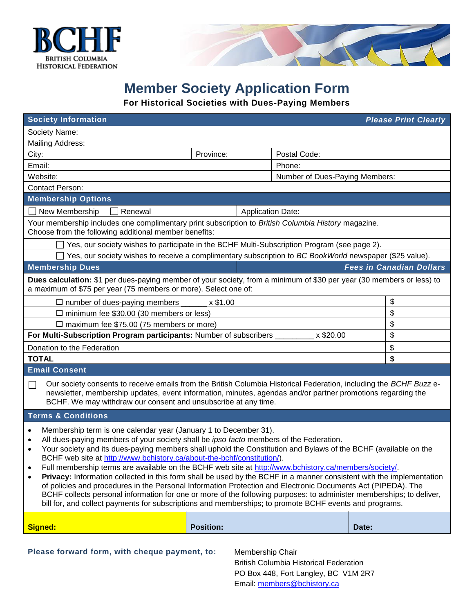



## **Member Society Application Form**

**For Historical Societies with Dues-Paying Members**

| <b>Society Information</b><br><b>Please Print Clearly</b>                                                                                                                                                                                                                                                                                                                                                                                                                                                                                                                                                                                                                                                                                                                                                                                                                                                                                                                                       |                          |              |                                 |  |
|-------------------------------------------------------------------------------------------------------------------------------------------------------------------------------------------------------------------------------------------------------------------------------------------------------------------------------------------------------------------------------------------------------------------------------------------------------------------------------------------------------------------------------------------------------------------------------------------------------------------------------------------------------------------------------------------------------------------------------------------------------------------------------------------------------------------------------------------------------------------------------------------------------------------------------------------------------------------------------------------------|--------------------------|--------------|---------------------------------|--|
| Society Name:                                                                                                                                                                                                                                                                                                                                                                                                                                                                                                                                                                                                                                                                                                                                                                                                                                                                                                                                                                                   |                          |              |                                 |  |
| <b>Mailing Address:</b>                                                                                                                                                                                                                                                                                                                                                                                                                                                                                                                                                                                                                                                                                                                                                                                                                                                                                                                                                                         |                          |              |                                 |  |
| City:                                                                                                                                                                                                                                                                                                                                                                                                                                                                                                                                                                                                                                                                                                                                                                                                                                                                                                                                                                                           | Province:                | Postal Code: |                                 |  |
| Email:<br>Phone:                                                                                                                                                                                                                                                                                                                                                                                                                                                                                                                                                                                                                                                                                                                                                                                                                                                                                                                                                                                |                          |              |                                 |  |
| Website:<br>Number of Dues-Paying Members:                                                                                                                                                                                                                                                                                                                                                                                                                                                                                                                                                                                                                                                                                                                                                                                                                                                                                                                                                      |                          |              |                                 |  |
| <b>Contact Person:</b>                                                                                                                                                                                                                                                                                                                                                                                                                                                                                                                                                                                                                                                                                                                                                                                                                                                                                                                                                                          |                          |              |                                 |  |
| <b>Membership Options</b>                                                                                                                                                                                                                                                                                                                                                                                                                                                                                                                                                                                                                                                                                                                                                                                                                                                                                                                                                                       |                          |              |                                 |  |
| New Membership<br>Renewal                                                                                                                                                                                                                                                                                                                                                                                                                                                                                                                                                                                                                                                                                                                                                                                                                                                                                                                                                                       | <b>Application Date:</b> |              |                                 |  |
| Your membership includes one complimentary print subscription to British Columbia History magazine.<br>Choose from the following additional member benefits:                                                                                                                                                                                                                                                                                                                                                                                                                                                                                                                                                                                                                                                                                                                                                                                                                                    |                          |              |                                 |  |
| Yes, our society wishes to participate in the BCHF Multi-Subscription Program (see page 2).                                                                                                                                                                                                                                                                                                                                                                                                                                                                                                                                                                                                                                                                                                                                                                                                                                                                                                     |                          |              |                                 |  |
| Yes, our society wishes to receive a complimentary subscription to BC BookWorld newspaper (\$25 value).                                                                                                                                                                                                                                                                                                                                                                                                                                                                                                                                                                                                                                                                                                                                                                                                                                                                                         |                          |              |                                 |  |
| <b>Membership Dues</b>                                                                                                                                                                                                                                                                                                                                                                                                                                                                                                                                                                                                                                                                                                                                                                                                                                                                                                                                                                          |                          |              | <b>Fees in Canadian Dollars</b> |  |
| Dues calculation: \$1 per dues-paying member of your society, from a minimum of \$30 per year (30 members or less) to<br>a maximum of \$75 per year (75 members or more). Select one of:                                                                                                                                                                                                                                                                                                                                                                                                                                                                                                                                                                                                                                                                                                                                                                                                        |                          |              |                                 |  |
| $\square$ number of dues-paying members<br>x \$1.00                                                                                                                                                                                                                                                                                                                                                                                                                                                                                                                                                                                                                                                                                                                                                                                                                                                                                                                                             |                          |              | \$                              |  |
| $\Box$ minimum fee \$30.00 (30 members or less)                                                                                                                                                                                                                                                                                                                                                                                                                                                                                                                                                                                                                                                                                                                                                                                                                                                                                                                                                 |                          |              | \$                              |  |
| $\Box$ maximum fee \$75.00 (75 members or more)                                                                                                                                                                                                                                                                                                                                                                                                                                                                                                                                                                                                                                                                                                                                                                                                                                                                                                                                                 |                          |              | \$                              |  |
| For Multi-Subscription Program participants: Number of subscribers ___<br>x \$20.00                                                                                                                                                                                                                                                                                                                                                                                                                                                                                                                                                                                                                                                                                                                                                                                                                                                                                                             |                          |              | \$                              |  |
| Donation to the Federation                                                                                                                                                                                                                                                                                                                                                                                                                                                                                                                                                                                                                                                                                                                                                                                                                                                                                                                                                                      |                          |              | \$                              |  |
| <b>TOTAL</b>                                                                                                                                                                                                                                                                                                                                                                                                                                                                                                                                                                                                                                                                                                                                                                                                                                                                                                                                                                                    |                          | \$           |                                 |  |
| <b>Email Consent</b>                                                                                                                                                                                                                                                                                                                                                                                                                                                                                                                                                                                                                                                                                                                                                                                                                                                                                                                                                                            |                          |              |                                 |  |
| Our society consents to receive emails from the British Columbia Historical Federation, including the BCHF Buzz e-<br>$\mathsf{L}$<br>newsletter, membership updates, event information, minutes, agendas and/or partner promotions regarding the<br>BCHF. We may withdraw our consent and unsubscribe at any time.                                                                                                                                                                                                                                                                                                                                                                                                                                                                                                                                                                                                                                                                             |                          |              |                                 |  |
| <b>Terms &amp; Conditions</b>                                                                                                                                                                                                                                                                                                                                                                                                                                                                                                                                                                                                                                                                                                                                                                                                                                                                                                                                                                   |                          |              |                                 |  |
| Membership term is one calendar year (January 1 to December 31).<br>$\bullet$<br>All dues-paying members of your society shall be ipso facto members of the Federation.<br>$\bullet$<br>Your society and its dues-paying members shall uphold the Constitution and Bylaws of the BCHF (available on the<br>$\bullet$<br>BCHF web site at http://www.bchistory.ca/about-the-bchf/constitution/).<br>Full membership terms are available on the BCHF web site at http://www.bchistory.ca/members/society/.<br>Privacy: Information collected in this form shall be used by the BCHF in a manner consistent with the implementation<br>$\bullet$<br>of policies and procedures in the Personal Information Protection and Electronic Documents Act (PIPEDA). The<br>BCHF collects personal information for one or more of the following purposes: to administer memberships; to deliver,<br>bill for, and collect payments for subscriptions and memberships; to promote BCHF events and programs. |                          |              |                                 |  |
| Signed:                                                                                                                                                                                                                                                                                                                                                                                                                                                                                                                                                                                                                                                                                                                                                                                                                                                                                                                                                                                         | <b>Position:</b>         |              | Date:                           |  |

**Please forward form, with cheque payment, to:** Membership Chair

British Columbia Historical Federation PO Box 448, Fort Langley, BC V1M 2R7 Email: [members@bchistory.ca](mailto:members@bchistory.ca)